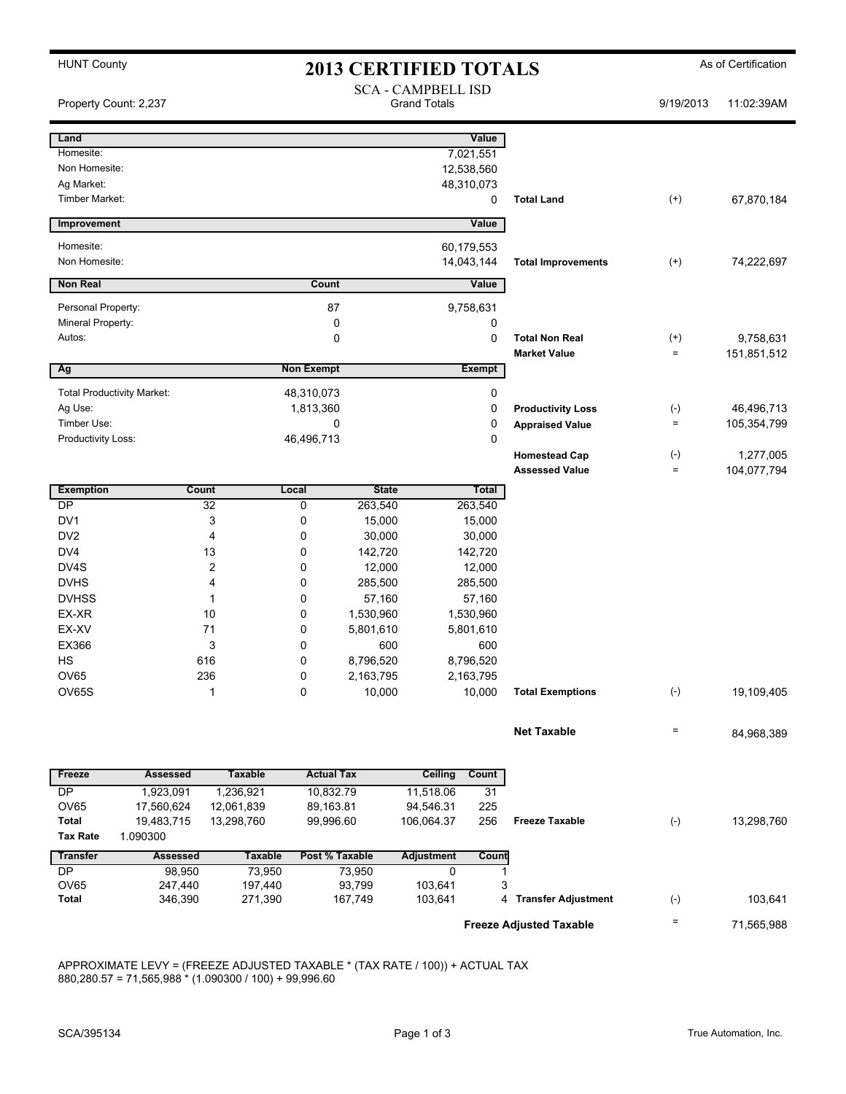HUNT County **As of Certification 2013 CERTIFIED TOTALS** As of Certification SCA - CAMPBELL ISD Property Count: 2,237 Crand Totals 9/19/2013 11:02:39AM **Land Value** Homesite: 7,021,551 Non Homesite: 12,538,560 Ag Market: 48,310,073 Timber Market: 0 **Total Land** (+) 67,870,184 **Improvement Value** Homesite: 60,179,553 Non Homesite: 14,043,144 **Total Improvements** (+) 74,222,697 **Non Real Count Value** Personal Property:  $87$  9,758,631 Mineral Property: 0 0 Autos: 0 0 **Total Non Real** (+) 9,758,631 **Market Value**  $\qquad \qquad =$  151,851,512 **a Ag Exempt Exempt Exempt** Total Productivity Market:  $\begin{array}{ccc} 48,310,073 \end{array}$  0 Ag Use: 1,813,360 0 **Productivity Loss** (-) 46,496,713 Timber Use: 0 0 **Appraised Value** = 105,354,799 Productivity Loss: 0 0 46,496,713 **Homestead Cap** (-) 1,277,005 **Assessed Value** = 104,077,794 **Exemption Count Local State Total** DP 32 0 263,540 263,540 DV1 3 0 15,000 15,000 DV2 4 0 30,000 30,000 DV4 13 0 142,720 142,720 DV4S 2 0 12,000 12,000 DVHS 4 0 285,500 285,500 DVHSS 1 0 57,160 57,160 EX-XR 10 0 1,530,960 1,530,960 EX-XV 71 0 5,801,610 5,801,610 EX366 3 0 600 600 HS 616 0 8,796,520 8,796,520 OV65 236 0 2,163,795 2,163,795 OV65S 1 0 10,000 10,000 **Total Exemptions** (-) 19,109,405 **Net Taxable**  $= 84.968.389$ **Freeze Assessed Taxable Actual Tax Ceiling Count** DP 1,923,091 1,236,921 10,832.79 11,518.06 31 OV65 17,560,624 12,061,839 89,163.81 94,546.31 225 **Total** 19,483,715 13,298,760 106,064.37 99,996.60 256 **Freeze Taxable** (-) 13,298,760 **Tax Rate** 1.090300 **Transfer Assessed Taxable Post % Taxable Adjustment Count**  DP 98,950 73,950 73,950 0 1 OV65 247,440 197,440 93,799 103,641 3 **Total** 346,390 271,390 167,749 103,641 4 **Transfer Adjustment** (-) 103,641

APPROXIMATE LEVY = (FREEZE ADJUSTED TAXABLE \* (TAX RATE / 100)) + ACTUAL TAX

 $880,280.57 = 71,565,988 \times (1.090300 / 100) + 99,996.60$ 

**Freeze Adjusted Taxable Freeze Adjusted Taxable Fig. 1,565,988**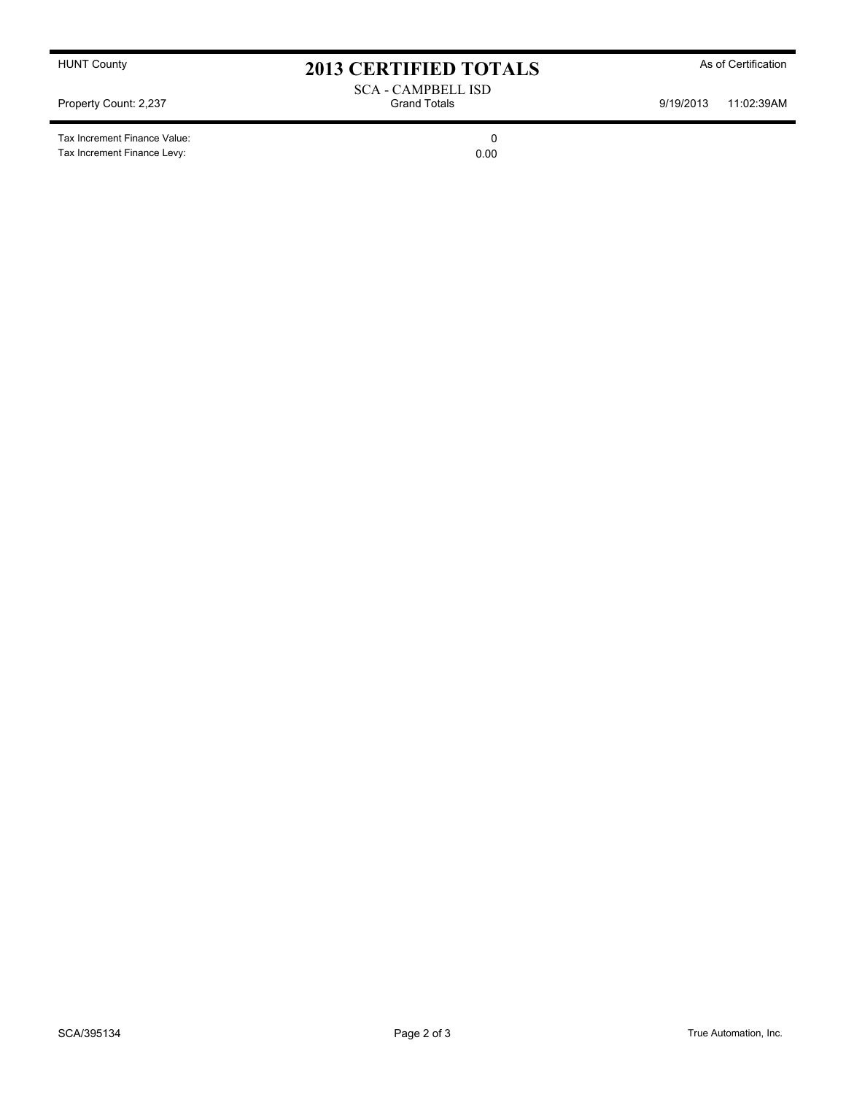Tax Increment Finance Value: 0 Tax Increment Finance Levy: 0.00

HUNT County **As of Certification 2013 CERTIFIED TOTALS** As of Certification

SCA - CAMPBELL ISD<br>Grand Totals Property Count: 2,237 Crand Totals Grand Totals 9/19/2013 11:02:39AM